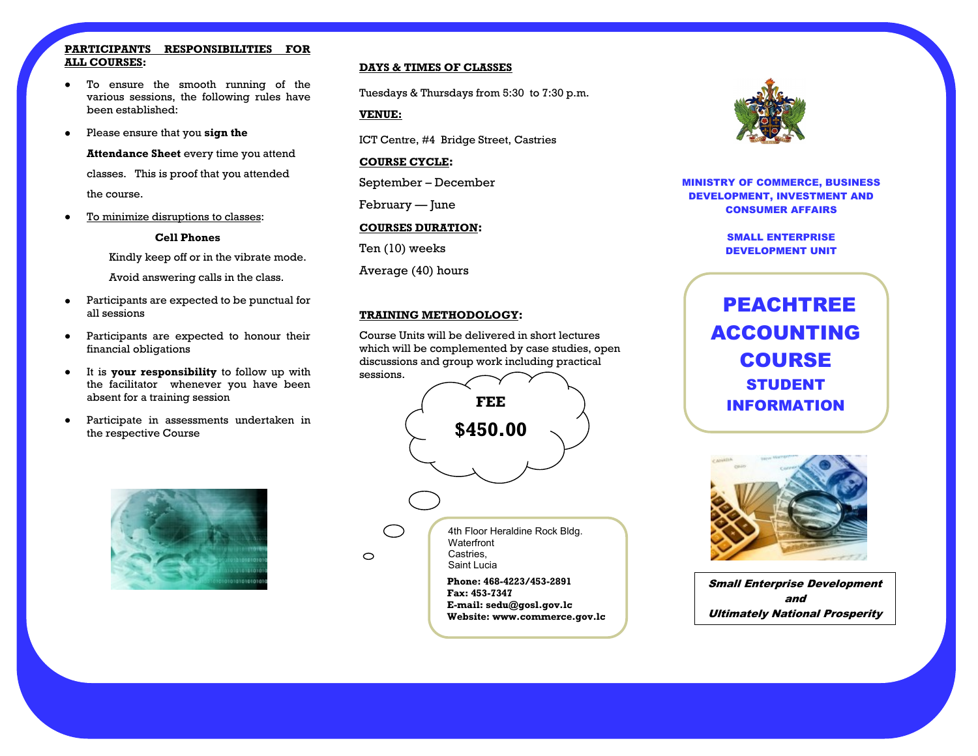#### **PARTICIPANTS RESPONSIBILITIES FOR ALL COURSES:**

- To ensure the smooth running of the  $\bullet$ various sessions, the following rules have been established:
- Please ensure that you **sign the**

**Attendance Sheet** every time you attend classes. This is proof that you attended the course.

To minimize disruptions to classes:  $\bullet$ 

#### **Cell Phones**

Kindly keep off or in the vibrate mode.

Avoid answering calls in the class.

- $\bullet$ Participants are expected to be punctual for all sessions
- Participants are expected to honour their  $\bullet$ financial obligations
- It is **your responsibility** to follow up with  $\bullet$ the facilitator whenever you have been absent for a training session
- Participate in assessments undertaken in  $\bullet$ the respective Course



#### **DAYS & TIMES OF CLASSES**

Tuesdays & Thursdays from 5:30 to 7:30 p.m.

**VENUE:**

ICT Centre, #4 Bridge Street, Castries

#### **COURSE CYCLE:**

September – December

February — June

#### **COURSES DURATION:**

Ten (10) weeks

Average (40) hours

#### **TRAINING METHODOLOGY:**

Course Units will be delivered in short lectures which will be complemented by case studies, open discussions and group work including practical





MINISTRY OF COMMERCE, BUSINESS DEVELOPMENT, INVESTMENT AND CONSUMER AFFAIRS

> SMALL ENTERPRISE DEVELOPMENT UNIT

PEACHTREE ACCOUNTING COURSE STUDENT INFORMATION



Small Enterprise Development and Ultimately National Prosperity